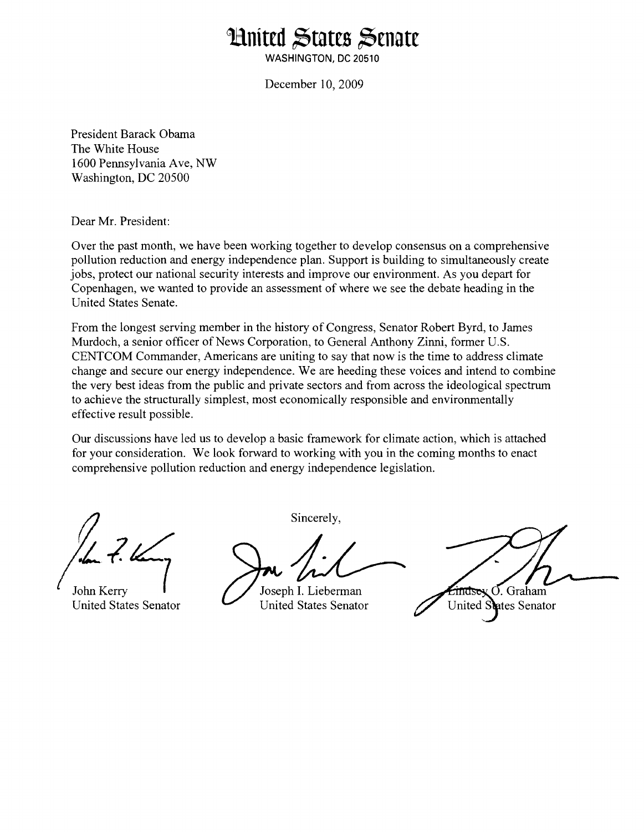## **Hnited States Senate**

**WASHINGTON, DC 20510** 

December 10,2009

President Barack Obama The White House 1600 Pennsylvania Ave, NW Washington, DC 20500

Dear Mr. President:

Over the past month, we have been working together to develop consensus on a comprehensive pollution reduction and energy independence plan. Support is building to simultaneously create jobs, protect our national security interests and improve our environment. As you depart for Copenhagen, we wanted to provide an assessment of where we see the debate heading in the United States Senate.

From the longest serving member in the history of Congress, Senator Robert Byrd, to James Murdoch, a senior officer of News Corporation, to General Anthony Zinni, former U.S. CENTCOM Commander, Americans are uniting to say that now is the time to address climate change and secure our energy independence. We are heeding these voices and intend to combine the very best ideas from the public and private sectors and from across the ideological spectrum to achieve the structurally simplest, most economically responsible and environmentally effective result possible.

Our discussions have led us to develop a basic framework for climate action, which is attached for your consideration. We look forward to working with you in the coming months to enact comprehensive pollution reduction and energy independence legislation.

Sincerely,

John Kerry Joseph I. Lieberman United States Senator United States Senator

 $\frac{1}{2}$   $\frac{1}{2}$   $\frac{1}{2}$   $\frac{1}{2}$   $\frac{1}{2}$   $\frac{1}{2}$   $\frac{1}{2}$   $\frac{1}{2}$   $\frac{1}{2}$   $\frac{1}{2}$   $\frac{1}{2}$   $\frac{1}{2}$   $\frac{1}{2}$   $\frac{1}{2}$   $\frac{1}{2}$   $\frac{1}{2}$   $\frac{1}{2}$   $\frac{1}{2}$   $\frac{1}{2}$   $\frac{1}{2}$   $\frac{1}{2}$   $\frac{1}{2}$  United States Senator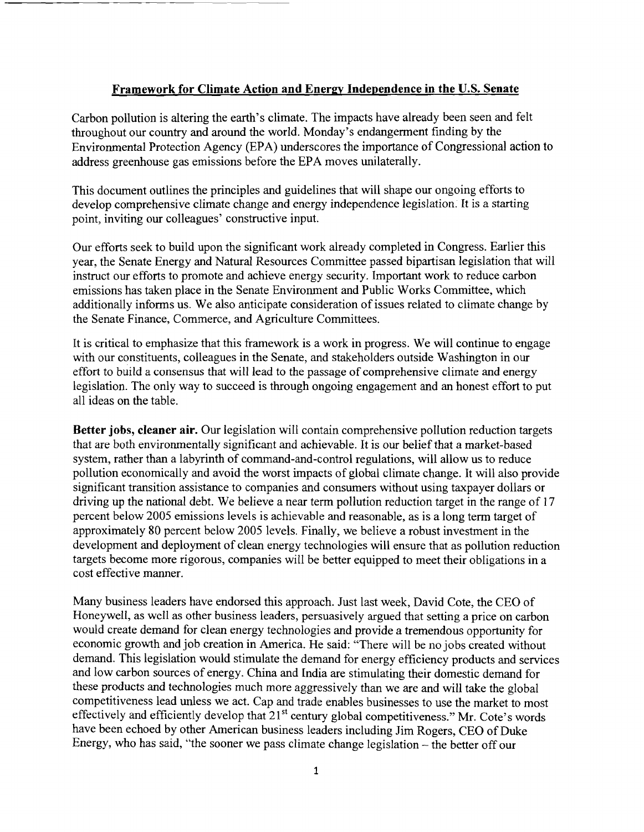## **Framework for Climate Action and Energv Independence in the U.S. Senate**

Carbon pollution is altering the earth's climate. The impacts have already been seen and felt throughout our country and around the world. Monday's endangerment finding by the Environmental Protection Agency (EPA) underscores the importance of Congressional action to address greenhouse gas emissions before the EPA moves unilaterally.

This document outlines the principles and guidelines that will shape our ongoing efforts to develop comprehensive climate change and energy independence legislation; It is a starting point, inviting our colleagues' constructive input.

Our efforts seek to build upon the significant work already completed in Congress. Earlier this year, the Senate Energy and Natural Resources Committee passed bipartisan legislation that will instruct our efforts to promote and achieve energy security. Important work to reduce carbon emissions has taken place in the Senate Environment and Public Works Committee, which additionally informs us. We also anticipate consideration of issues related to climate change by the Senate Finance, Commerce, and Agriculture Committees.

It is critical to emphasize that this framework is a work in progress. We will continue to engage with our constituents, colleagues in the Senate, and stakeholders outside Washington in our effort to build a consensus that will lead to the passage of comprehensive climate and energy legislation. The only way to succeed is through ongoing engagement and an honest effort to put all ideas on the table.

**Better jobs, cleaner air.** Our legislation will contain comprehensive pollution reduction targets that are both environmentally significant and achievable. It is our belief that a market-based system, rather than a labyrinth of command-and-control regulations, will allow us to reduce pollution economically and avoid the worst impacts of global climate change. It will also provide significant transition assistance to companies and consumers without using taxpayer dollars or driving up the national debt. We believe a near term pollution reduction target in the range of 17 percent below 2005 emissions levels is achievable and reasonable, as is a long term target of approximately 80 percent below 2005 levels. Finally, we believe a robust investment in the development and deployment of clean energy technologies will ensure that as pollution reduction targets become more rigorous, companies will be better equipped to meet their obligations in a cost effective manner.

Many business leaders have endorsed this approach. Just last week, David Cote, the CEO of Honeywell, as well as other business leaders, persuasively argued that setting a price on carbon would create demand for clean energy technologies and provide a tremendous opportunity for economic growth and job creation in America. He said: "There will be no jobs created without demand. This legislation would stimulate the demand for energy efficiency products and services and low carbon sources of energy. China and India are stimulating their domestic demand for these products and technologies much more aggressively than we are and will take the global competitiveness lead unless we act. Cap and trade enables businesses to use the market to most effectively and efficiently develop that 21<sup>st</sup> century global competitiveness." Mr. Cote's words have been echoed by other American business leaders including Jim Rogers, CEO of Duke Energy, who has said, "the sooner we pass climate change legislation  $-$  the better off our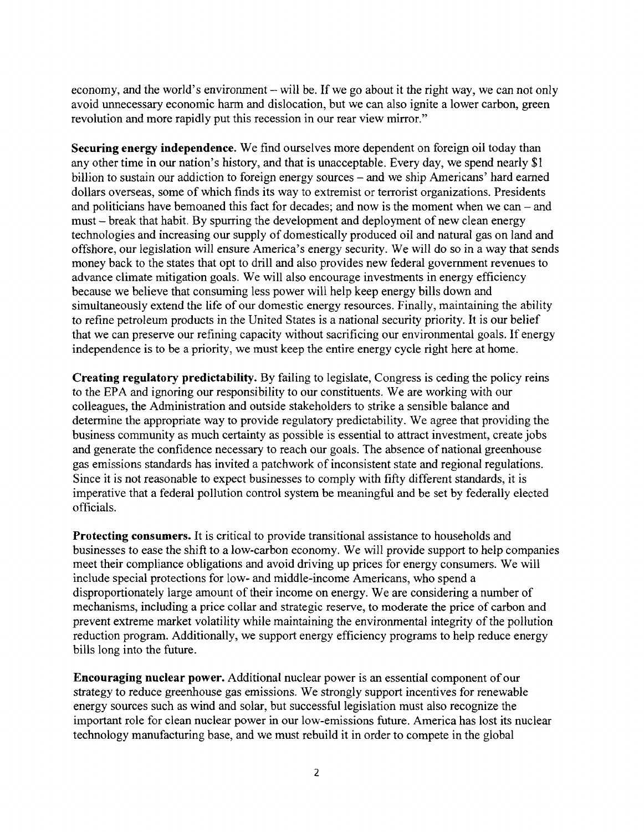economy, and the world's environment – will be. If we go about it the right way, we can not only avoid unnecessary economic harm and dislocation, but we can also ignite a lower carbon, green revolution and more rapidly put this recession in our rear view mirror."

**Securing energy independence.** We find ourselves more dependent on foreign oil today than any other time in our nation's history, and that is unacceptable. Every day, we spend nearly \$1 billion to sustain our addiction to foreign energy sources - and we ship Americans' hard earned dollars overseas, some of which finds its way to extremist or terrorist organizations. Presidents and politicians have bemoaned this fact for decades; and now is the moment when we can  $-$  and must - break that habit. By spurring the development and deployment of new clean energy technologies and increasing our supply of domestically produced oil and natural gas on land and offshore, our legislation will ensure America's energy security. We will do so in a way that sends money back to the states that opt to drill and also provides new federal government revenues to advance climate mitigation goals. We will also encourage investments in energy efficiency because we believe that consuming less power will help keep energy bills down and simultaneously extend the life of our domestic energy resources. Finally, maintaining the ability to refine petroleum products in the United States is a national security priority. It is our belief that we can preserve our refining capacity without sacrificing our environmental goals. If energy independence is to be a priority, we must keep the entire energy cycle right here at home.

**Creating regulatory predictability.** By failing to legislate, Congress is ceding the policy reins to the EPA and ignoring our responsibility to our constituents. We are working with our colleagues, the Administration and outside stakeholders to strike a sensible balance and determine the appropriate way to provide regulatory predictability. We agree that providing the business community as much certainty as possible is essential to attract investment, create jobs and generate the confidence necessary to reach our goals. The absence of national greenhouse gas emissions standards has invited a patchwork of inconsistent state and regional regulations. Since it is not reasonable to expect businesses to comply with fifty different standards, it is imperative that a federal pollution control system be meaningful and be set by federally elected officials.

**Protecting consumers.** It is critical to provide transitional assistance to households and businesses to ease the shift to a low-carbon economy. We will provide support to help companies meet their compliance obligations and avoid driving up prices for energy consumers. We will include special protections for low- and middle-income Americans, who spend a disproportionately large amount of their income on energy. We are considering a number of mechanisms, including a price collar and strategic reserve, to moderate the price of carbon and prevent extreme market volatility while maintaining the environmental integrity of the pollution reduction program. Additionally, we support energy efficiency programs to help reduce energy bills long into the future.

**Encouraging nuclear power.** Additional nuclear power is an essential component of our strategy to reduce greenhouse gas emissions. We strongly support incentives for renewable energy sources such as wind and solar, but successful legislation must also recognize the important role for clean nuclear power in our low-emissions future. America has lost its nuclear technology manufacturing base, and we must rebuild it in order to compete in the global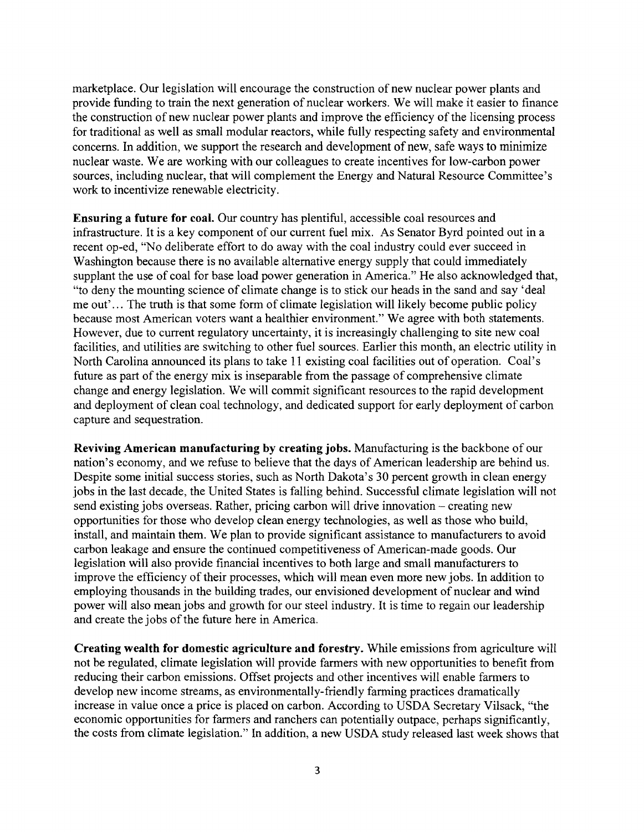marketplace. Our legislation will encourage the construction of new nuclear power plants and provide funding to train the next generation of nuclear workers. We will make it easier to finance the construction of new nuclear power plants and improve the efficiency of the licensing process for traditional as well as small modular reactors, while fully respecting safety and environmental concerns. In addition, we support the research and development of new, safe ways to minimize nuclear waste. We are working with our colleagues to create incentives for low-carbon power sources, including nuclear, that will complement the Energy and Natural Resource Committee's work to incentivize renewable electricity.

**Ensuring a future for coal.** Our country has plentiful, accessible coal resources and infrastructure. It is a key component of our current fuel mix. As Senator Byrd pointed out in a recent op-ed, "No deliberate effort to do away with the coal industry could ever succeed in Washington because there is no available alternative energy supply that could immediately supplant the use of coal for base load power generation in America." He also acknowledged that, "to deny the mounting science of climate change is to stick our heads in the sand and say 'deal me out'... The truth is that some form of climate legislation will likely become public policy because most American voters want a healthier environment." We agree with both statements. However, due to current regulatory uncertainty, it is increasingly challenging to site new coal facilities, and utilities are switching to other fuel sources. Earlier this month, an electric utility in North Carolina announced its plans to take 11 existing coal facilities out of operation. Coal's future as part of the energy mix is inseparable from the passage of comprehensive climate change and energy legislation. We will commit significant resources to the rapid development and deployment of clean coal technology, and dedicated support for early deployment of carbon capture and sequestration.

**Reviving American manufacturing by creating jobs.** Manufacturing is the backbone of our nation's economy, and we refuse to believe that the days of American leadership are behind us. Despite some initial success stories, such as North Dakota's 30 percent growth in clean energy jobs in the last decade, the United States is falling behind. Successful climate legislation will not send existing jobs overseas. Rather, pricing carbon will drive innovation – creating new opportunities for those who develop clean energy technologies, as well as those who build, install, and maintain them. We plan to provide significant assistance to manufacturers to avoid carbon leakage and ensure the continued competitiveness of American-made goods. Our legislation will also provide financial incentives to both large and small manufacturers to improve the efficiency of their processes, which will mean even more new jobs. In addition to employing thousands in the building trades, our envisioned development of nuclear and wind power will also mean jobs and growth for our steel industry. It is time to regain our leadership and create the jobs of the future here in America.

**Creating wealth for domestic agriculture and forestry.** While emissions from agriculture will not be regulated, climate legislation will provide farmers with new opportunities to benefit fiom reducing their carbon emissions. Offset projects and other incentives will enable farmers to develop new income streams, as environmentally-friendly farming practices dramatically increase in value once a price is placed on carbon. According to USDA Secretary Vilsack, "the economic opportunities for farmers and ranchers can potentially outpace, perhaps significantly, the costs fiom climate legislation." In addition, a new USDA study released last week shows that